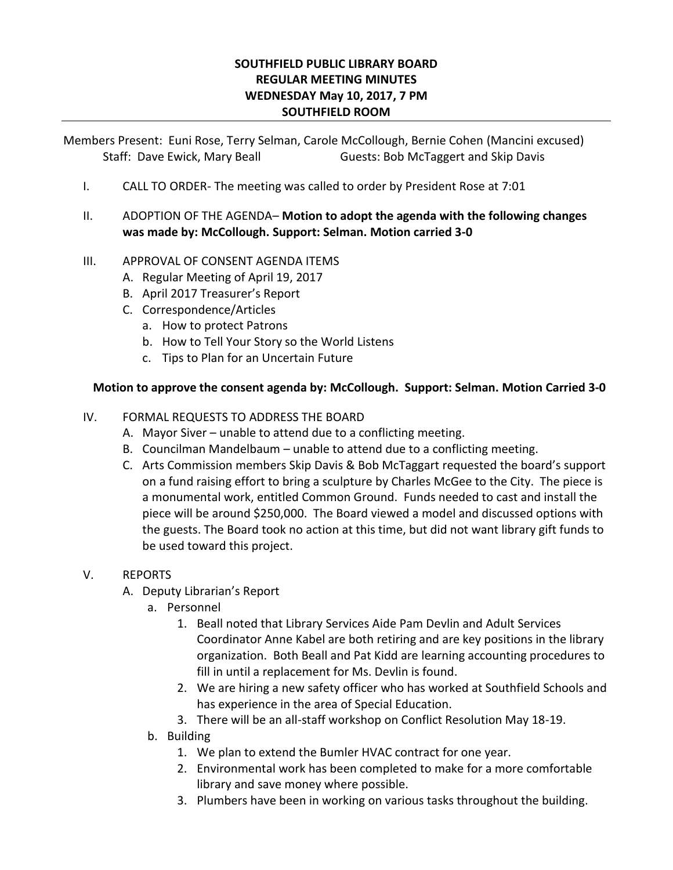## **SOUTHFIELD PUBLIC LIBRARY BOARD REGULAR MEETING MINUTES WEDNESDAY May 10, 2017, 7 PM SOUTHFIELD ROOM**

Members Present: Euni Rose, Terry Selman, Carole McCollough, Bernie Cohen (Mancini excused) Staff: Dave Ewick, Mary Beall Guests: Bob McTaggert and Skip Davis

- I. CALL TO ORDER- The meeting was called to order by President Rose at 7:01
- II. ADOPTION OF THE AGENDA– **Motion to adopt the agenda with the following changes was made by: McCollough. Support: Selman. Motion carried 3-0**

## III. APPROVAL OF CONSENT AGENDA ITEMS

- A. Regular Meeting of April 19, 2017
- B. April 2017 Treasurer's Report
- C. Correspondence/Articles
	- a. How to protect Patrons
	- b. How to Tell Your Story so the World Listens
	- c. Tips to Plan for an Uncertain Future

## **Motion to approve the consent agenda by: McCollough. Support: Selman. Motion Carried 3-0**

## IV. FORMAL REQUESTS TO ADDRESS THE BOARD

- A. Mayor Siver unable to attend due to a conflicting meeting.
- B. Councilman Mandelbaum unable to attend due to a conflicting meeting.
- C. Arts Commission members Skip Davis & Bob McTaggart requested the board's support on a fund raising effort to bring a sculpture by Charles McGee to the City. The piece is a monumental work, entitled Common Ground. Funds needed to cast and install the piece will be around \$250,000. The Board viewed a model and discussed options with the guests. The Board took no action at this time, but did not want library gift funds to be used toward this project.
- V. REPORTS
	- A. Deputy Librarian's Report
		- a. Personnel
			- 1. Beall noted that Library Services Aide Pam Devlin and Adult Services Coordinator Anne Kabel are both retiring and are key positions in the library organization. Both Beall and Pat Kidd are learning accounting procedures to fill in until a replacement for Ms. Devlin is found.
			- 2. We are hiring a new safety officer who has worked at Southfield Schools and has experience in the area of Special Education.
			- 3. There will be an all-staff workshop on Conflict Resolution May 18-19.
		- b. Building
			- 1. We plan to extend the Bumler HVAC contract for one year.
			- 2. Environmental work has been completed to make for a more comfortable library and save money where possible.
			- 3. Plumbers have been in working on various tasks throughout the building.